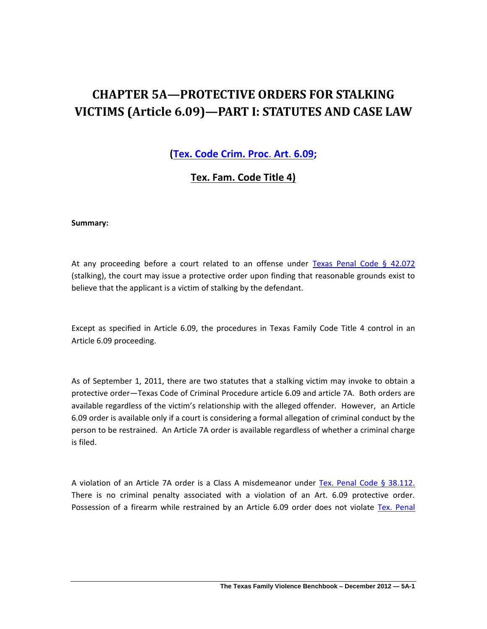# **CHAPTER 5A—PROTECTIVE ORDERS FOR STALKING VICTIMS (Article 6.09)—PART I: STATUTES AND CASE LAW**

**[\(Tex. Code Crim. Proc](http://www.lexis.com/research/xlink?app=00075&view=full&searchtype=lt&search=Tex.+Code+crim.+Proc.+art.+6.09)**. **Art**. **6.09;** 

**Tex. Fam. Code Title 4)**

**Summary:** 

At any proceeding before a court related to an offense under [Texas Penal Code § 42.072](http://www.lexis.com/research/slft?cite=54582050656E616C20436F646520A72034322E303732&keyenum=15452&keytnum=0) (stalking), the court may issue a protective order upon finding that reasonable grounds exist to believe that the applicant is a victim of stalking by the defendant.

Except as specified in Article 6.09, the procedures in Texas Family Code Title 4 control in an Article 6.09 proceeding.

As of September 1, 2011, there are two statutes that a stalking victim may invoke to obtain a protective order—Texas Code of Criminal Procedure article 6.09 and article 7A. Both orders are available regardless of the victim's relationship with the alleged offender. However, an Article 6.09 order is available only if a court is considering a formal allegation of criminal conduct by the person to be restrained. An Article 7A order is available regardless of whether a criminal charge is filed.

A violation of an Article 7A order is a Class A misdemeanor under [Tex. Penal Code § 38.112.](http://www.lexis.com/research/slft?cite=54582050656E616C20436F646520A72033382E3131322E&keyenum=15452&keytnum=0)  There is no criminal penalty associated with a violation of an Art. 6.09 protective order. Possession of a firearm while restrained by an Article 6.09 order does not violate [Tex. Penal](http://www.lexis.com/research/slft?cite=54582050656E616C20436F646520A72034362E3034&keyenum=15452&keytnum=0)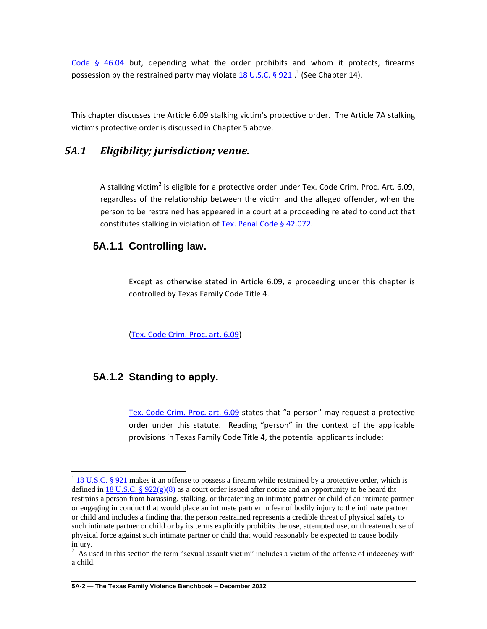Code  $§$  46.04 but, depending what the order prohibits and whom it protects, firearms possession by the restrained party may violate  $\underline{18}$  U.S.C. § 921  $.1$  (See Chapter 14).

This chapter discusses the Article 6.09 stalking victim's protective order. The Article 7A stalking victim's protective order is discussed in Chapter 5 above.

## *5A.1 Eligibility; jurisdiction; venue.*

A stalking victim<sup>2</sup> is eligible for a protective order under Tex. Code Crim. Proc. Art. 6.09, regardless of the relationship between the victim and the alleged offender, when the person to be restrained has appeared in a court at a proceeding related to conduct that constitutes stalking in violation of [Tex. Penal Code § 42.072.](http://www.lexis.com/research/slft?cite=54582050656E616C20436F646520A72034322E3037322E&keyenum=15452&keytnum=0Tex.%20Penal%20Code%20§%2042.072)

## **5A.1.1 Controlling law.**

Except as otherwise stated in Article 6.09, a proceeding under this chapter is controlled by Texas Family Code Title 4.

[\(Tex. Code Crim. Proc. art. 6.09\)](http://www.lexis.com/research/xlink?app=00075&view=full&searchtype=lt&search=Tex.+Code+crim.+Proc.+art.+6.09)

## **5A.1.2 Standing to apply.**

 $\overline{\phantom{a}}$ 

[Tex. Code Crim. Proc. art. 6.09](http://www.lexis.com/research/xlink?app=00075&view=full&searchtype=lt&search=Tex.+Code+crim.+Proc.+art.+6.09) states that "a person" may request a protective order under this statute. Reading "person" in the context of the applicable provisions in Texas Family Code Title 4, the potential applicants include:

 $1$  [18 U.S.C. § 921](http://www.lexis.com/research/slft?cite=31382055534320A720393231&keyenum=15452&keytnum=0) makes it an offense to possess a firearm while restrained by a protective order, which is defined in 18 U.S.C. §  $922(g)(8)$  as a court order issued after notice and an opportunity to be heard tht restrains a person from harassing, stalking, or threatening an intimate partner or child of an intimate partner or engaging in conduct that would place an intimate partner in fear of bodily injury to the intimate partner or child and includes a finding that the person restrained represents a credible threat of physical safety to such intimate partner or child or by its terms explicitly prohibits the use, attempted use, or threatened use of physical force against such intimate partner or child that would reasonably be expected to cause bodily injury.

<sup>&</sup>lt;sup>2</sup> As used in this section the term "sexual assault victim" includes a victim of the offense of indecency with a child.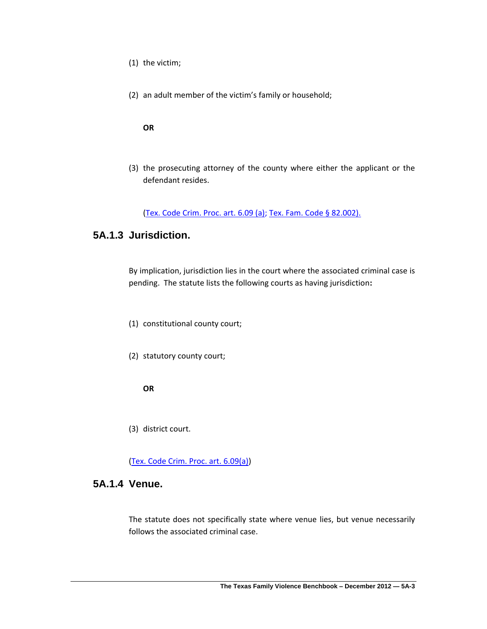- (1) the victim;
- (2) an adult member of the victim's family or household;

#### **OR**

(3) the prosecuting attorney of the county where either the applicant or the defendant resides.

[\(Tex. Code Crim. Proc. art. 6.09](http://www.lexis.com/research/xlink?app=00075&view=full&searchtype=lt&search=Tex.+Code+crim.+Proc.+art.+6.09) (a)[; Tex. Fam. Code § 82.002\).](http://www.lexis.com/research/slft?cite=54582046616D696C7920436F646520A72038322E303032292E&keyenum=15452&keytnum=0)

# **5A.1.3 Jurisdiction.**

By implication, jurisdiction lies in the court where the associated criminal case is pending. The statute lists the following courts as having jurisdiction**:**

- (1) constitutional county court;
- (2) statutory county court;

**OR**

(3) district court.

[\(Tex. Code Crim. Proc. art. 6.09\(a](http://www.lexis.com/research/xlink?app=00075&view=full&searchtype=lt&search=Tex.+Code+crim.+Proc.+art.+6.09)))

### **5A.1.4 Venue.**

The statute does not specifically state where venue lies, but venue necessarily follows the associated criminal case.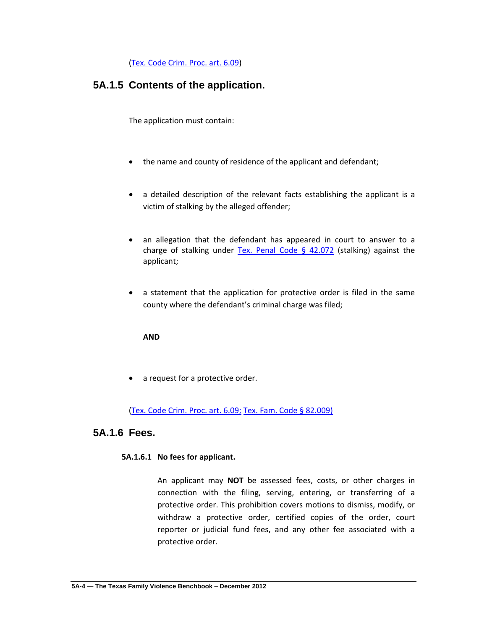[\(Tex. Code Crim. Proc. art. 6.09\)](http://www.lexis.com/research/xlink?app=00075&view=full&searchtype=lt&search=Tex.+Code+crim.+Proc.+art.+6.09)

# **5A.1.5 Contents of the application.**

The application must contain:

- the name and county of residence of the applicant and defendant;
- a detailed description of the relevant facts establishing the applicant is a victim of stalking by the alleged offender;
- an allegation that the defendant has appeared in court to answer to a charge of stalking under Tex. Penal Code  $\S$  42.072 (stalking) against the applicant;
- a statement that the application for protective order is filed in the same county where the defendant's criminal charge was filed;

#### **AND**

• a request for a protective order.

#### [\(Tex. Code Crim. Proc. art. 6.09;](http://www.lexis.com/research/xlink?app=00075&view=full&searchtype=lt&search=Tex.+Code+crim.+Proc.+art.+6.09) [Tex. Fam. Code § 82.009\)](http://www.lexis.com/research/slft?cite=54582046616D696C7920436F646520A72038322E30303929&keyenum=15452&keytnum=0)

## **5A.1.6 Fees.**

#### **5A.1.6.1 No fees for applicant.**

An applicant may **NOT** be assessed fees, costs, or other charges in connection with the filing, serving, entering, or transferring of a protective order. This prohibition covers motions to dismiss, modify, or withdraw a protective order, certified copies of the order, court reporter or judicial fund fees, and any other fee associated with a protective order.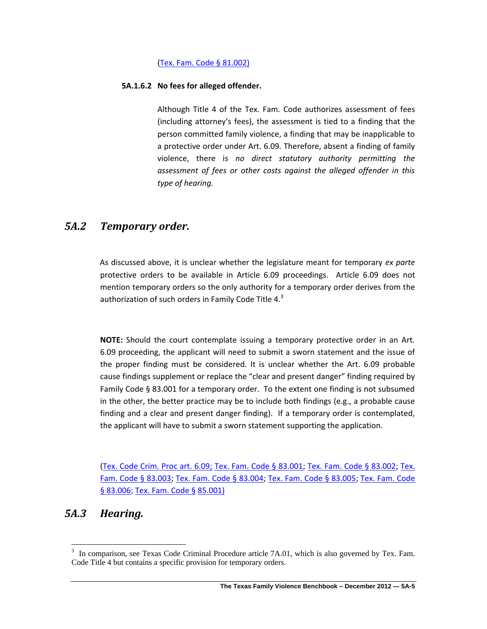#### [\(Tex. Fam. Code § 81.002\)](http://www.lexis.com/research/slft?cite=54582046616D696C7920436F646520A72038312E30303229&keyenum=15452&keytnum=0)

#### **5A.1.6.2 No fees for alleged offender.**

Although Title 4 of the Tex. Fam. Code authorizes assessment of fees (including attorney's fees), the assessment is tied to a finding that the person committed family violence, a finding that may be inapplicable to a protective order under Art. 6.09. Therefore, absent a finding of family violence, there is *no direct statutory authority permitting the assessment of fees or other costs against the alleged offender in this type of hearing.*

# *5A.2 Temporary order.*

As discussed above, it is unclear whether the legislature meant for temporary *ex parte* protective orders to be available in Article 6.09 proceedings. Article 6.09 does not mention temporary orders so the only authority for a temporary order derives from the authorization of such orders in Family Code Title 4. $^3$ 

**NOTE:** Should the court contemplate issuing a temporary protective order in an Art. 6.09 proceeding, the applicant will need to submit a sworn statement and the issue of the proper finding must be considered. It is unclear whether the Art. 6.09 probable cause findings supplement or replace the "clear and present danger" finding required by Family Code § 83.001 for a temporary order. To the extent one finding is not subsumed in the other, the better practice may be to include both findings (e.g., a probable cause finding and a clear and present danger finding). If a temporary order is contemplated, the applicant will have to submit a sworn statement supporting the application.

[\(Tex. Code Crim. Proc art. 6.09;](http://www.lexis.com/research/xlink?app=00075&view=full&searchtype=lt&search=Tex.+Code+crim.+Proc.+art.+6.09) [Tex. Fam. Code §](http://www.lexis.com/research/xlink?app=00075&view=full&searchtype=lt&search=Tex.+Fam.+Code+%A7+83.001) 83.001; [Tex. Fam. Code § 83.002;](http://www.lexis.com/research/xlink?app=00075&view=full&searchtype=lt&search=Tex.+Fam.+Code+%A7+83.002) [Tex.](http://www.lexis.com/research/xlink?app=00075&view=full&searchtype=lt&search=Tex.+Fam.+Code+%A7+83.003)  [Fam. Code § 83.003;](http://www.lexis.com/research/xlink?app=00075&view=full&searchtype=lt&search=Tex.+Fam.+Code+%A7+83.003) [Tex. Fam. Code § 83.004;](http://www.lexis.com/research/xlink?app=00075&view=full&searchtype=lt&search=Tex.+Fam.+Code+%A7+83.004) [Tex. Fam. Code § 83.005;](http://www.lexis.com/research/xlink?app=00075&view=full&searchtype=lt&search=Tex.+Fam.+Code+%A7+83.005) [Tex. Fam. Code](http://www.lexis.com/research/xlink?app=00075&view=full&searchtype=lt&search=Tex.+Fam.+Code+%A7+83.006)  [§ 83.006;](http://www.lexis.com/research/xlink?app=00075&view=full&searchtype=lt&search=Tex.+Fam.+Code+%A7+83.006) [Tex. Fam. Code](http://www.lexis.com/research/xlink?app=00075&view=full&searchtype=lt&search=Tex.+Fam.+Code+%A7+85.001) § 85.001)

# *5A.3 Hearing.*

 $\overline{a}$ 

<sup>3</sup> In comparison, see Texas Code Criminal Procedure article 7A.01, which is also governed by Tex. Fam. Code Title 4 but contains a specific provision for temporary orders.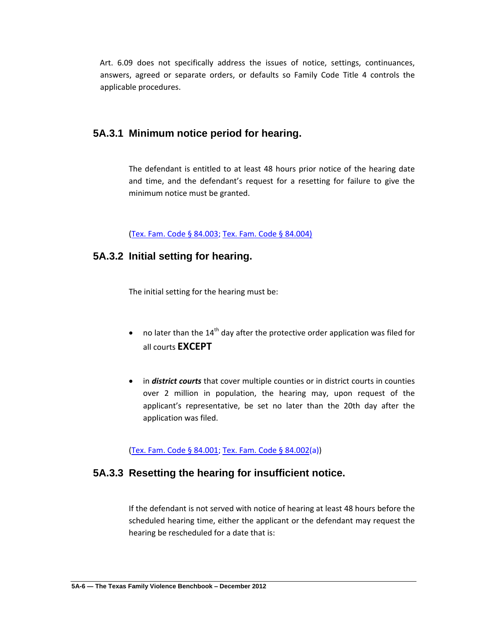Art. 6.09 does not specifically address the issues of notice, settings, continuances, answers, agreed or separate orders, or defaults so Family Code Title 4 controls the applicable procedures.

### **5A.3.1 Minimum notice period for hearing.**

The defendant is entitled to at least 48 hours prior notice of the hearing date and time, and the defendant's request for a resetting for failure to give the minimum notice must be granted.

[\(Tex. Fam. Code § 84.003;](http://www.lexis.com/research/slft?cite=54582046616D696C7920436F646520A72038342E303033&keyenum=15452&keytnum=0) [Tex. Fam. Code § 84.004\)](http://www.lexis.com/research/slft?cite=54582046616D696C7920436F646520A72038342E30303429&keyenum=15452&keytnum=0)

### **5A.3.2 Initial setting for hearing.**

The initial setting for the hearing must be:

- no later than the  $14<sup>th</sup>$  day after the protective order application was filed for all courts **EXCEPT**
- in *district courts* that cover multiple counties or in district courts in counties over 2 million in population, the hearing may, upon request of the applicant's representative, be set no later than the 20th day after the application was filed.

[\(Tex. Fam. Code § 84.001;](http://www.lexis.com/research/slft?cite=54582046616D696C7920436F646520A72038342E303031&keyenum=15452&keytnum=0) Tex. [Fam. Code § 84.002\(](http://www.lexis.com/research/slft?cite=54582046616D696C7920436F646520A72038342E303032&keyenum=15452&keytnum=0)a))

## **5A.3.3 Resetting the hearing for insufficient notice.**

If the defendant is not served with notice of hearing at least 48 hours before the scheduled hearing time, either the applicant or the defendant may request the hearing be rescheduled for a date that is: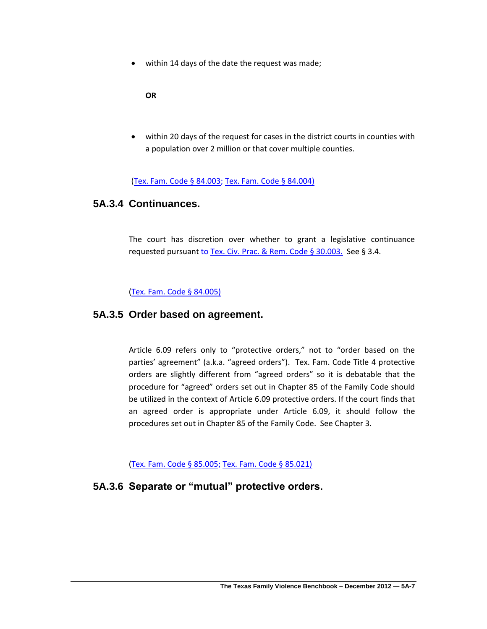within 14 days of the date the request was made;

**OR**

 within 20 days of the request for cases in the district courts in counties with a population over 2 million or that cover multiple counties.

[\(Tex. Fam. Code § 84.003;](http://www.lexis.com/research/slft?cite=54582046616D696C7920436F646520A72038342E303033&keyenum=15452&keytnum=0) [Tex. Fam. Code § 84.004\)](http://www.lexis.com/research/slft?cite=54582046616D696C7920436F646520A72038342E30303429&keyenum=15452&keytnum=0)

### **5A.3.4 Continuances.**

The court has discretion over whether to grant a legislative continuance requested pursuant t[o Tex. Civ. Prac. & Rem. Code § 30.003.](http://www.lexis.com/research/slft?cite=54582043697620507261632052656D20436F646520A72033302E3030332E&keyenum=15452&keytnum=0) See § 3.4.

[\(Tex. Fam. Code § 84.005\)](http://www.lexis.com/research/slft?cite=54582046616D696C7920436F646520A72038342E30303529&keyenum=15452&keytnum=0)

### **5A.3.5 Order based on agreement.**

Article 6.09 refers only to "protective orders," not to "order based on the parties' agreement" (a.k.a. "agreed orders"). Tex. Fam. Code Title 4 protective orders are slightly different from "agreed orders" so it is debatable that the procedure for "agreed" orders set out in Chapter 85 of the Family Code should be utilized in the context of Article 6.09 protective orders. If the court finds that an agreed order is appropriate under Article 6.09, it should follow the procedures set out in Chapter 85 of the Family Code. See Chapter 3.

[\(Tex. Fam. Code § 85.005;](http://www.lexis.com/research/slft?cite=54582046616D696C7920436F646520A72038352E303035&keyenum=15452&keytnum=0) [Tex. Fam. Code § 85.021\)](http://www.lexis.com/research/slft?cite=54582046616D696C7920436F646520A72038352E30323129&keyenum=15452&keytnum=0)

## **5A.3.6 Separate or "mutual" protective orders.**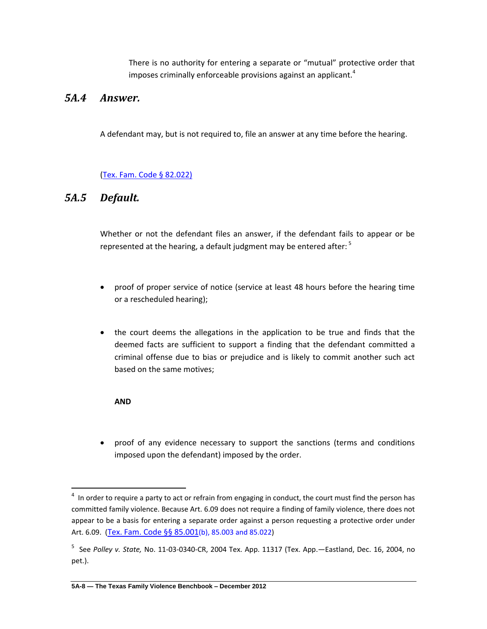There is no authority for entering a separate or "mutual" protective order that imposes criminally enforceable provisions against an applicant.<sup>4</sup>

# *5A.4 Answer.*

A defendant may, but is not required to, file an answer at any time before the hearing.

#### [\(Tex. Fam. Code § 82.022\)](http://www.lexis.com/research/slft?cite=54582046616D696C7920436F646520A72038322E30323229&keyenum=15452&keytnum=0)

# *5A.5 Default.*

Whether or not the defendant files an answer, if the defendant fails to appear or be represented at the hearing, a default judgment may be entered after:  $5$ 

- proof of proper service of notice (service at least 48 hours before the hearing time or a rescheduled hearing);
- the court deems the allegations in the application to be true and finds that the deemed facts are sufficient to support a finding that the defendant committed a criminal offense due to bias or prejudice and is likely to commit another such act based on the same motives;

#### **AND**

 $\overline{\phantom{a}}$ 

 proof of any evidence necessary to support the sanctions (terms and conditions imposed upon the defendant) imposed by the order.

 $<sup>4</sup>$  In order to require a party to act or refrain from engaging in conduct, the court must find the person has</sup> committed family violence. Because Art. 6.09 does not require a finding of family violence, there does not appear to be a basis for entering a separate order against a person requesting a protective order under Art. 6.09. ([Tex. Fam. Code §§ 85.001](http://www.lexis.com/research/slft?cite=54582046616D696C7920436F646520A7A72038352E303031&keyenum=15452&keytnum=0)(b), 85.003 and 85.022)

<sup>5</sup> See *Polley v. State,* No. 11-03-0340-CR, 2004 Tex. App. 11317 (Tex. App.—Eastland, Dec. 16, 2004, no pet.).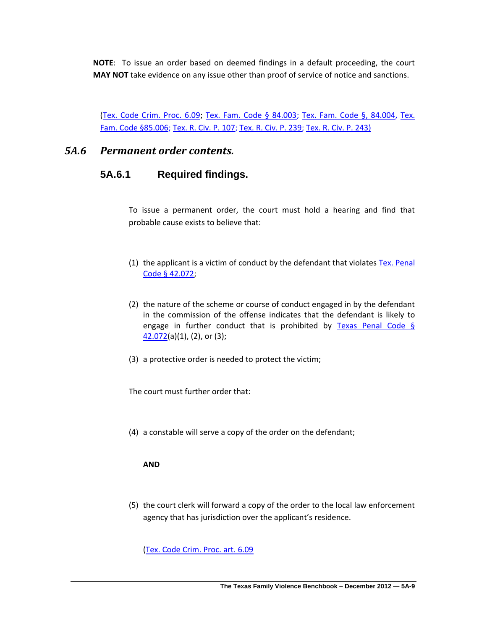**NOTE**: To issue an order based on deemed findings in a default proceeding, the court **MAY NOT** take evidence on any issue other than proof of service of notice and sanctions.

[\(Tex. Code Crim. Proc. 6.09;](http://www.lexis.com/research/xlink?app=00075&view=full&searchtype=lt&search=Tex.+Code+Crim.+Proc.+art.+6.09) [Tex. Fam. Code § 84.003;](http://www.lexis.com/research/slft?cite=54582046616D696C7920436F646520A72038342E303033&keyenum=15452&keytnum=0) [Tex. Fam. Code §, 84.004,](http://www.lexis.com/research/slft?cite=54582046616D696C7920436F646520A72C2038342E303034&keyenum=15452&keytnum=0) [Tex.](http://www.lexis.com/research/xlink?app=00075&view=full&searchtype=lt&search=Tex.+Fam.+Code+%A7+85.006)  [Fam. Code §85.006;](http://www.lexis.com/research/xlink?app=00075&view=full&searchtype=lt&search=Tex.+Fam.+Code+%A7+85.006) [Tex. R. Civ. P. 107;](http://www.lexis.com/research/slft?cite=5465782E20522E204369762E20502E20313037&keyenum=15452&keytnum=0) [Tex. R. Civ. P. 239;](http://www.lexis.com/research/slft?cite=5465782E20522E204369762E20502E20323339&keyenum=15452&keytnum=0) [Tex. R. Civ. P. 243\)](http://www.lexis.com/research/slft?cite=5465782E20522E204369762E20502E2032343329&keyenum=15452&keytnum=0)

# *5A.6 Permanent order contents.*

# **5A.6.1 Required findings.**

To issue a permanent order, the court must hold a hearing and find that probable cause exists to believe that:

- (1) the applicant is a victim of conduct by the defendant that violates  $Tex.$  Penal [Code § 42.072;](http://www.lexis.com/research/slft?cite=54582050656E616C20436F646520A72034322E303732&keyenum=15452&keytnum=0)
- (2) the nature of the scheme or course of conduct engaged in by the defendant in the commission of the offense indicates that the defendant is likely to engage in further conduct that is prohibited by Texas Penal Code  $\S$  $42.072(a)(1)$  $42.072(a)(1)$ , (2), or (3);
- (3) a protective order is needed to protect the victim;

The court must further order that:

(4) a constable will serve a copy of the order on the defendant;

#### **AND**

(5) the court clerk will forward a copy of the order to the local law enforcement agency that has jurisdiction over the applicant's residence.

[\(Tex. Code Crim. Proc. art. 6.09](http://www.lexis.com/research/xlink?app=00075&view=full&searchtype=lt&search=Tex.+Code+crim.+Proc.+art.+6.09)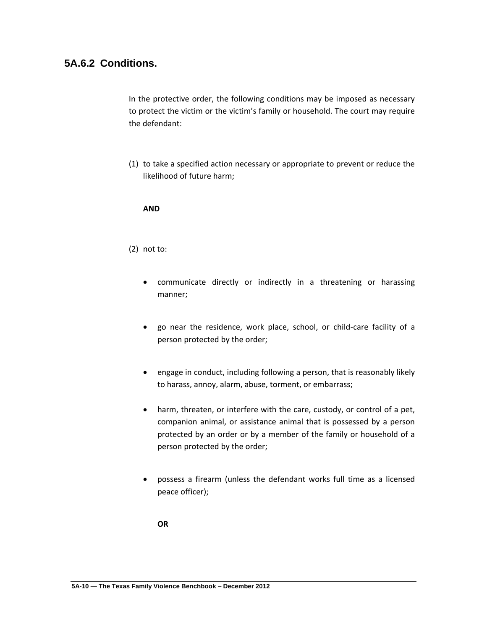# **5A.6.2 Conditions.**

In the protective order, the following conditions may be imposed as necessary to protect the victim or the victim's family or household. The court may require the defendant:

(1) to take a specified action necessary or appropriate to prevent or reduce the likelihood of future harm;

#### **AND**

#### (2) not to:

- communicate directly or indirectly in a threatening or harassing manner;
- go near the residence, work place, school, or child-care facility of a person protected by the order;
- engage in conduct, including following a person, that is reasonably likely to harass, annoy, alarm, abuse, torment, or embarrass;
- harm, threaten, or interfere with the care, custody, or control of a pet, companion animal, or assistance animal that is possessed by a person protected by an order or by a member of the family or household of a person protected by the order;
- possess a firearm (unless the defendant works full time as a licensed peace officer);

**OR**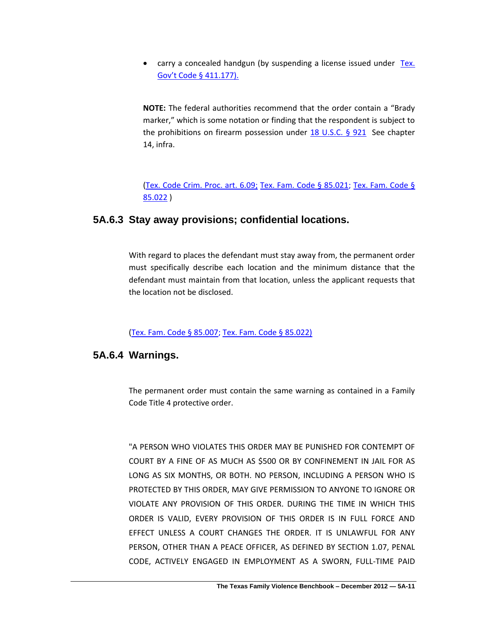• carry a concealed handgun (by suspending a license issued under Tex. [Gov't Code § 411.177\).](http://www.lexis.com/research/slft?cite=545820476F7665726E6D656E7420436F646520A7203431312E313737292E&keyenum=15452&keytnum=0)

**NOTE:** The federal authorities recommend that the order contain a "Brady marker," which is some notation or finding that the respondent is subject to the prohibitions on firearm possession under [18 U.S.C. § 921](http://www.lexis.com/research/xlink?app=00075&view=full&searchtype=lt&search=18+USCS+%A7+921) See chapter 14, infra.

[\(Tex. Code Crim. Proc. art. 6.09;](http://www.lexis.com/research/xlink?app=00075&view=full&searchtype=lt&search=Tex.+Code+crim.+Proc.+art.+6.09) [Tex. Fam. Code § 85.021;](http://www.lexis.com/research/slft?cite=54582046616D696C7920436F646520A72038352E303231&keyenum=15452&keytnum=0) [Tex. Fam. Code §](http://www.lexis.com/research/slft?cite=54582046616D696C7920436F646520A72038352E303232&keyenum=15452&keytnum=0)  [85.022](http://www.lexis.com/research/slft?cite=54582046616D696C7920436F646520A72038352E303232&keyenum=15452&keytnum=0) )

# **5A.6.3 Stay away provisions; confidential locations.**

With regard to places the defendant must stay away from, the permanent order must specifically describe each location and the minimum distance that the defendant must maintain from that location, unless the applicant requests that the location not be disclosed.

[\(Tex. Fam. Code § 85.007;](http://www.lexis.com/research/xlink?app=00075&view=full&searchtype=lt&search=Tex.+Fam.+Code+%A7+85.007) [Tex. Fam. Code § 85.022\)](http://www.lexis.com/research/slft?cite=54582046616D696C7920436F646520A72038352E30323229&keyenum=15452&keytnum=0)

# **5A.6.4 Warnings.**

The permanent order must contain the same warning as contained in a Family Code Title 4 protective order.

"A PERSON WHO VIOLATES THIS ORDER MAY BE PUNISHED FOR CONTEMPT OF COURT BY A FINE OF AS MUCH AS \$500 OR BY CONFINEMENT IN JAIL FOR AS LONG AS SIX MONTHS, OR BOTH. NO PERSON, INCLUDING A PERSON WHO IS PROTECTED BY THIS ORDER, MAY GIVE PERMISSION TO ANYONE TO IGNORE OR VIOLATE ANY PROVISION OF THIS ORDER. DURING THE TIME IN WHICH THIS ORDER IS VALID, EVERY PROVISION OF THIS ORDER IS IN FULL FORCE AND EFFECT UNLESS A COURT CHANGES THE ORDER. IT IS UNLAWFUL FOR ANY PERSON, OTHER THAN A PEACE OFFICER, AS DEFINED BY SECTION 1.07, PENAL CODE, ACTIVELY ENGAGED IN EMPLOYMENT AS A SWORN, FULL-TIME PAID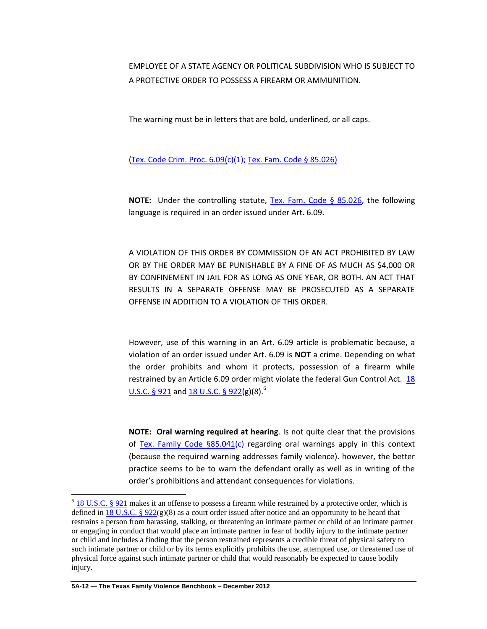EMPLOYEE OF A STATE AGENCY OR POLITICAL SUBDIVISION WHO IS SUBJECT TO A PROTECTIVE ORDER TO POSSESS A FIREARM OR AMMUNITION.

The warning must be in letters that are bold, underlined, or all caps.

[\(Tex. Code Crim. Proc. 6.09\(c](http://www.lexis.com/research/xlink?app=00075&view=full&searchtype=lt&search=Tex.+Code+crim.+Proc.+art.+6.09))(1)[; Tex. Fam. Code § 85.026\)](http://www.lexis.com/research/slft?cite=54582046616D696C7920436F646520A72038352E30323629&keyenum=15452&keytnum=0)

**NOTE:** Under the controlling statute, [Tex. Fam. Code § 85.026,](http://www.lexis.com/research/slft?cite=54582046616D696C7920436F646520A72038352E303236&keyenum=15452&keytnum=0) the following language is required in an order issued under Art. 6.09.

A VIOLATION OF THIS ORDER BY COMMISSION OF AN ACT PROHIBITED BY LAW OR BY THE ORDER MAY BE PUNISHABLE BY A FINE OF AS MUCH AS \$4,000 OR BY CONFINEMENT IN JAIL FOR AS LONG AS ONE YEAR, OR BOTH. AN ACT THAT RESULTS IN A SEPARATE OFFENSE MAY BE PROSECUTED AS A SEPARATE OFFENSE IN ADDITION TO A VIOLATION OF THIS ORDER.

However, use of this warning in an Art. 6.09 article is problematic because, a violation of an order issued under Art. 6.09 is **NOT** a crime. Depending on what the order prohibits and whom it protects, possession of a firearm while restrained by an Article 6.09 order might violate the federal Gun Control Act. [18](http://www.lexis.com/research/slft?cite=31382055534320A7A720393231&keyenum=15452&keytnum=0)  [U.S.C. § 921](http://www.lexis.com/research/slft?cite=31382055534320A7A720393231&keyenum=15452&keytnum=0) and [18 U.S.C. § 922\(](http://www.lexis.com/research/xlink?app=00075&view=full&searchtype=lt&search=18+USCS+%A7+922)g)(8).<sup>6</sup>

**NOTE: Oral warning required at hearing**. Is not quite clear that the provisions of [Tex. Family Code §85.041\(](http://www.lexis.com/research/xlink?app=00075&view=full&searchtype=lt&search=Tex.+Fam.+Code+%A7+85.041)c) regarding oral warnings apply in this context (because the required warning addresses family violence). however, the better practice seems to be to warn the defendant orally as well as in writing of the order's prohibitions and attendant consequences for violations.

 $\overline{a}$ 

 $6$  [18 U.S.C. § 921](http://www.lexis.com/research/slft?cite=31382055534320A720393231&keyenum=15452&keytnum=0) makes it an offense to possess a firearm while restrained by a protective order, which is defined in 18 U.S.C. §  $922(g)(8)$  as a court order issued after notice and an opportunity to be heard that restrains a person from harassing, stalking, or threatening an intimate partner or child of an intimate partner or engaging in conduct that would place an intimate partner in fear of bodily injury to the intimate partner or child and includes a finding that the person restrained represents a credible threat of physical safety to such intimate partner or child or by its terms explicitly prohibits the use, attempted use, or threatened use of physical force against such intimate partner or child that would reasonably be expected to cause bodily injury.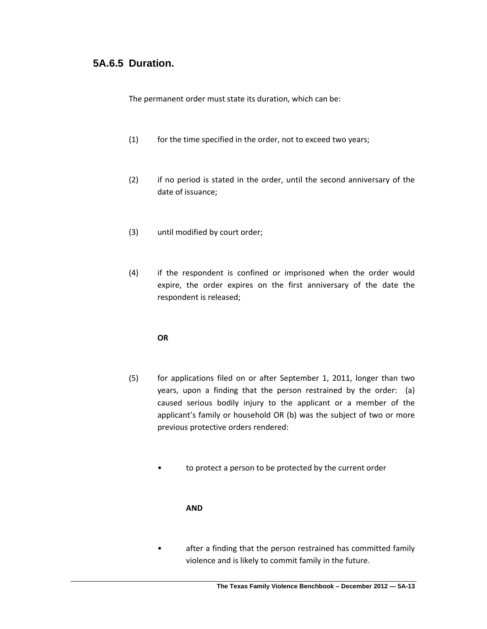# **5A.6.5 Duration.**

The permanent order must state its duration, which can be:

- (1) for the time specified in the order, not to exceed two years;
- (2) if no period is stated in the order, until the second anniversary of the date of issuance;
- (3) until modified by court order;
- (4) if the respondent is confined or imprisoned when the order would expire, the order expires on the first anniversary of the date the respondent is released;

#### **OR**

- (5) for applications filed on or after September 1, 2011, longer than two years, upon a finding that the person restrained by the order: (a) caused serious bodily injury to the applicant or a member of the applicant's family or household OR (b) was the subject of two or more previous protective orders rendered:
	- to protect a person to be protected by the current order

#### **AND**

• after a finding that the person restrained has committed family violence and is likely to commit family in the future.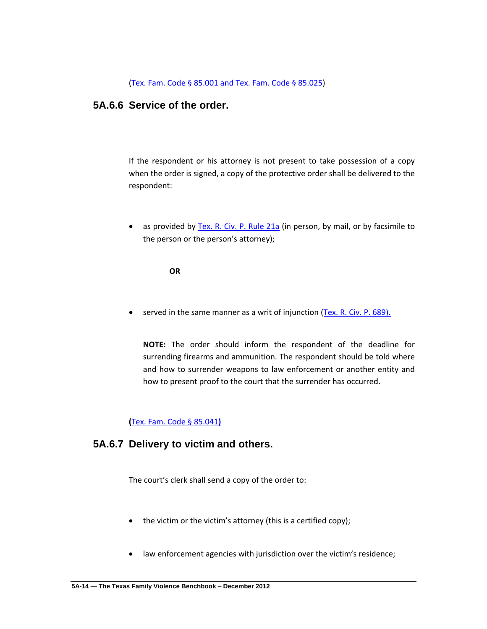[\(Tex. Fam. Code § 85.001](http://www.lexis.com/research/slft?cite=54582046616D696C7920436F646520A7A72038352E303031&keyenum=15452&keytnum=0) and [Tex. Fam. Code §](http://www.lexis.com/research/xlink?app=00075&view=full&searchtype=lt&search=Tex.+Fam.+Code+%A7+85.025) 85.025)

### **5A.6.6 Service of the order.**

If the respondent or his attorney is not present to take possession of a copy when the order is signed, a copy of the protective order shall be delivered to the respondent:

• as provided by [Tex. R. Civ. P. Rule 21a](http://www.lexis.com/research/slft?cite=5465782E20522E204369762E20502E2052756C6520323161&keyenum=15452&keytnum=0) (in person, by mail, or by facsimile to the person or the person's attorney);

**OR**

served in the same manner as a writ of injunction [\(Tex. R. Civ. P. 689\).](http://www.lexis.com/research/slft?cite=5465782E20522E204369762E20502E20363839292E&keyenum=15452&keytnum=0)

**NOTE:** The order should inform the respondent of the deadline for surrending firearms and ammunition. The respondent should be told where and how to surrender weapons to law enforcement or another entity and how to present proof to the court that the surrender has occurred.

**(**[Tex. Fam. Code § 85.041](http://www.lexis.com/research/slft?cite=54582046616D696C7920436F646520A72038352E30343129&keyenum=15452&keytnum=0)**)**

### **5A.6.7 Delivery to victim and others.**

The court's clerk shall send a copy of the order to:

- the victim or the victim's attorney (this is a certified copy);
- law enforcement agencies with jurisdiction over the victim's residence;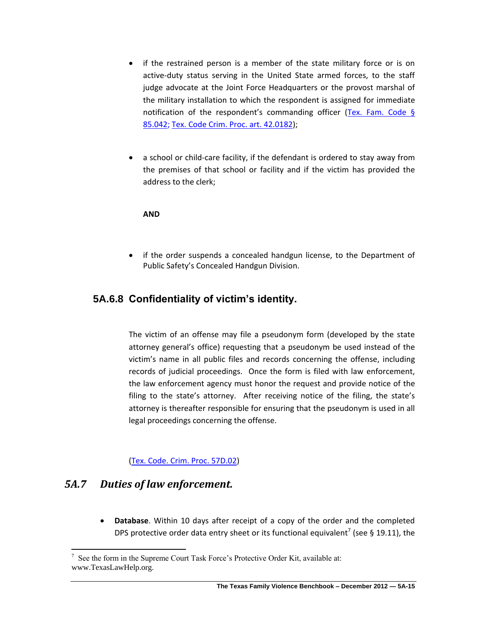- if the restrained person is a member of the state military force or is on active-duty status serving in the United State armed forces, to the staff judge advocate at the Joint Force Headquarters or the provost marshal of the military installation to which the respondent is assigned for immediate notification of the respondent's commanding officer (Tex. Fam. Code § [85.042;](http://www.lexis.com/research/slft?cite=54582046616D696C7920436F646520A72038352E303432&keyenum=15452&keytnum=0) [Tex. Code Crim. Proc. art. 42.0182\)](http://www.lexis.com/research/xlink?app=00075&view=full&searchtype=lt&search=Tex.+Code+Crim.+Proc.+art.+42.0182);
- a school or child-care facility, if the defendant is ordered to stay away from the premises of that school or facility and if the victim has provided the address to the clerk;

**AND**

 if the order suspends a concealed handgun license, to the Department of Public Safety's Concealed Handgun Division.

# **5A.6.8 Confidentiality of victim's identity.**

The victim of an offense may file a pseudonym form (developed by the state attorney general's office) requesting that a pseudonym be used instead of the victim's name in all public files and records concerning the offense, including records of judicial proceedings. Once the form is filed with law enforcement, the law enforcement agency must honor the request and provide notice of the filing to the state's attorney. After receiving notice of the filing, the state's attorney is thereafter responsible for ensuring that the pseudonym is used in all legal proceedings concerning the offense.

#### [\(Tex. Code. Crim. Proc. 57D.02\)](http://www.lexis.com/research/xlink?app=00075&view=full&searchtype=lt&search=Tex.+Code+Crim.+Proc.+art.+57D.02)

# *5A.7 Duties of law enforcement.*

 $\overline{a}$ 

 **Database**. Within 10 days after receipt of a copy of the order and the completed DPS protective order data entry sheet or its functional equivalent<sup>7</sup> (see § 19.11), the

 $7$  See the form in the Supreme Court Task Force's Protective Order Kit, available at: www.TexasLawHelp.org.